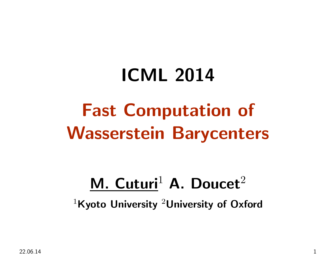# ICML <sup>2014</sup>Fast Computation of Wasserstein Barycenters

# M. Cuturi<sup>1</sup> A. Doucet<sup>2</sup>

<sup>1</sup>Kyoto University <sup>2</sup>University of Oxford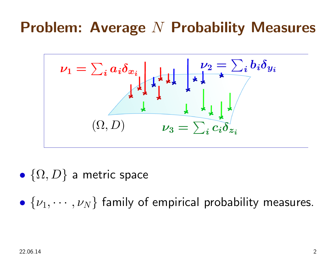# Problem: Average  $N$  Probability Measures



 $\bullet$  $\{\Omega,D\}$  a metric space

 $\bullet$  $\{\nu_1, \cdots, \nu_N$ } family of empirical probability measures.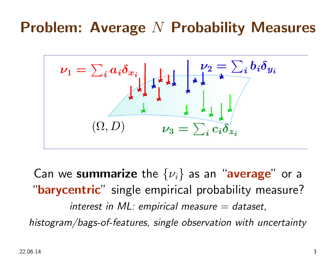# Problem: Average  $N$  Probability Measures



Can we summarize the  $\{\nu_i\}$  as an "average" or a "barycentric" single empirical probability measure? interest in ML: empirical measure  $=$  dataset, histogram/bags-of-features, single observation with uncertainty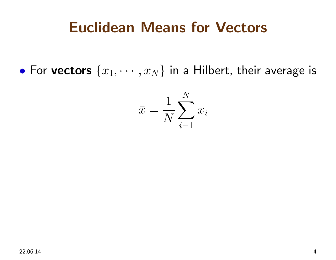#### Euclidean Means for Vectors

• For vectors  $\{x_1, \cdots, x_N\}$  in a Hilbert, their average is

$$
\bar{x} = \frac{1}{N} \sum_{i=1}^{N} x_i
$$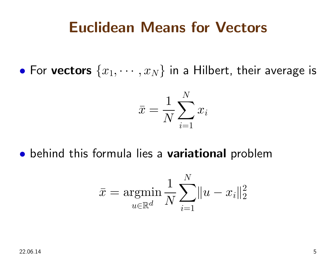#### Euclidean Means for Vectors

• For vectors  $\{x_1, \cdots, x_N\}$  in a Hilbert, their average is

$$
\bar{x} = \frac{1}{N} \sum_{i=1}^N x_i
$$

**•** behind this formula lies a variational problem

$$
\bar{x} = \operatornamewithlimits{argmin}_{u \in \mathbb{R}^d} \frac{1}{N} \sum_{i=1}^N \|u - x_i\|_2^2
$$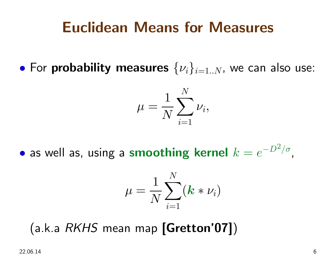#### Euclidean Means for Measures

• For probability measures  $\{\nu_i\}_{i=1..N}$ , we can also use:

$$
\mu = \frac{1}{N}\sum_{i=1}^N \nu_i,
$$

 $\bullet$  as well as, using a smoothing kernel  $k=e^{-\frac{1}{2}}$  $\boldsymbol{D}$  $^{2}/\sigma$  ,

$$
\mu = \frac{1}{N} \sum_{i=1}^N (\bm{k} * \nu_i)
$$

(a.k.a  $\mathit{RKHS}$  mean map  $[\mathsf{Gretton'07}])$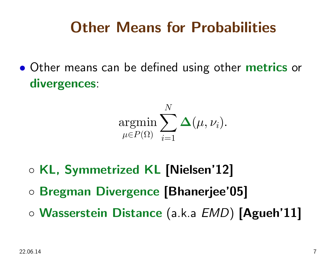### Other Means for Probabilities

 $\bullet$ **• Other means can be defined using other metrics or** divergences:

$$
\mathop{\mathrm{argmin}}\limits_{\mu \in P(\Omega)} \sum_{i=1}^N \mathbf{\Delta}(\mu, \nu_i).
$$

- ◦KL, Symmetrized KL [Nielsen'12]
- Bregman Divergence [Bhanerjee'05]
- $\circ$  Wasserstein Distance (a.k.a  $\mathit{EMD})$  [Agueh'11]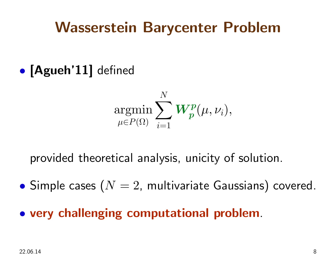#### Wasserstein Barycenter Problem

 $\bullet$ · [Agueh'11] defined

$$
\mathop{\rm argmin}\limits_{\mu\in P(\Omega)} \sum_{i=1}^N \bm{W^p_p}(\mu, \nu_i),
$$

provided theoretical analysis, unicity of solution.

- $\bullet$  $\bullet$  Simple cases  $(N=2,$  multivariate Gaussians) covered.
- very challenging computational problem.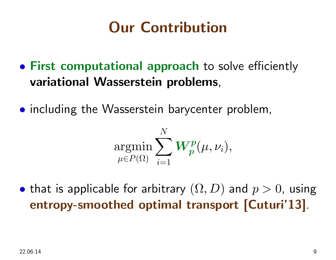## Our Contribution

- First computational approach to solve efficiently variational Wasserstein problems,
- including the Wasserstein barycenter problem,

$$
\mathop{\rm argmin}\limits_{\mu\in P(\Omega)} \sum_{i=1}^N \bm{W^p_p}(\mu, \nu_i),
$$

 $\bullet$ • that is applicable for arbitrary  $(\Omega, D)$  and  $p > 0$ , using entropy-smoothed optimal transport [Cuturi'13].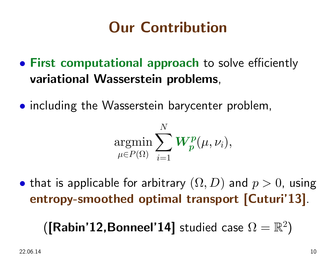# Our Contribution

- First computational approach to solve efficiently variational Wasserstein problems,
- including the Wasserstein barycenter problem,

$$
\mathop{\rm argmin}\limits_{\mu\in P(\Omega)} \sum_{i=1}^N \bm{W^p_p}(\mu, \nu_i),
$$

 $\bullet$ • that is applicable for arbitrary  $(\Omega, D)$  and  $p > 0$ , using entropy-smoothed optimal transport [Cuturi'13].

 $\left( \lbrack \mathsf{Rabin'12, Bonneel'14}\rbrack$  studied case  $\Omega =\mathbb{R}^2\right)$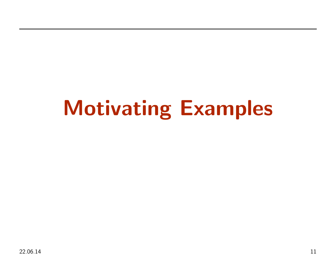# Motivating Examples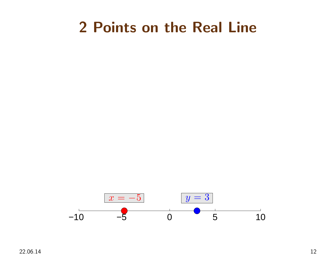#### <sup>2</sup> Points on the Real Line



22.06.14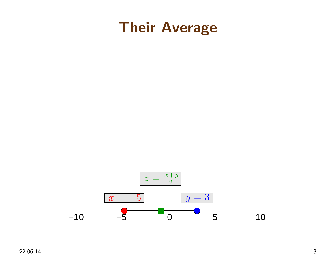



22.06.14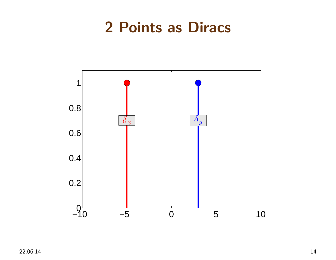#### <sup>2</sup> Points as Diracs

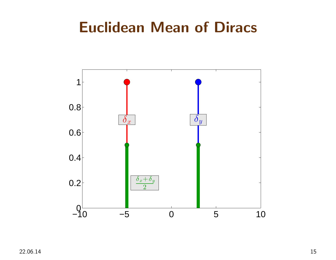#### Euclidean Mean of Diracs

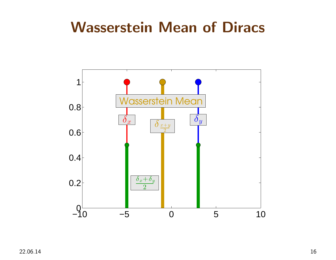#### Wasserstein Mean of Diracs

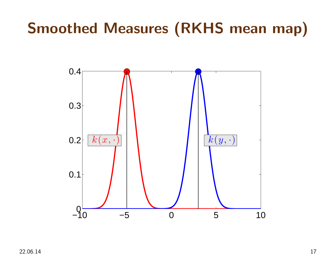# Smoothed Measures (RKHS mean map)

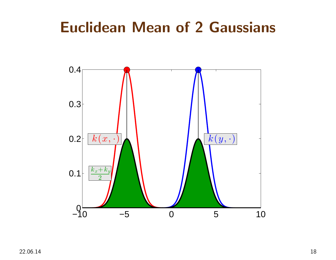#### Euclidean Mean of <sup>2</sup> Gaussians

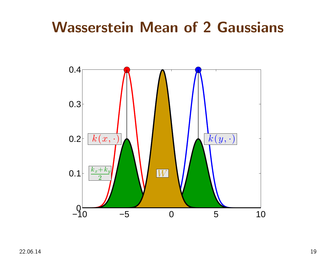#### Wasserstein Mean of <sup>2</sup> Gaussians

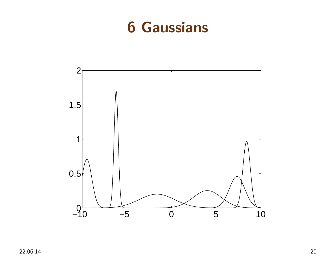#### <sup>6</sup> Gaussians

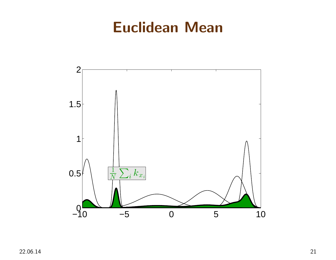#### Euclidean Mean

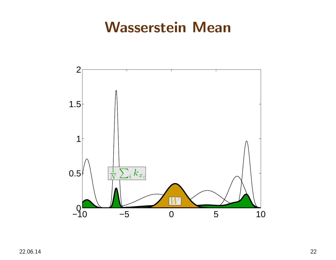#### Wasserstein Mean

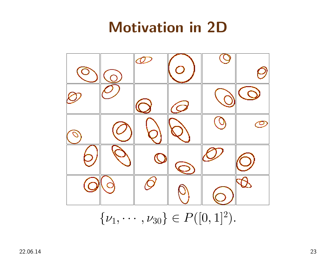## Motivation in 2D

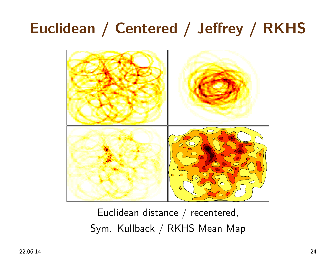# Euclidean / Centered / Jeffrey / RKHS



Euclidean distance / recentered, Sym. Kullback / RKHS Mean Map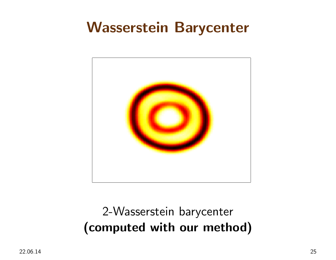#### Wasserstein Barycenter



#### 2-Wasserstein barycenter (computed with our method)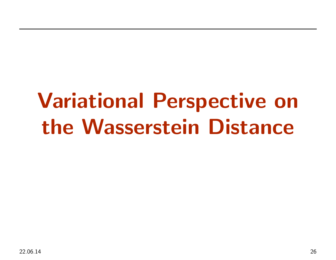# Variational Perspective onthe Wasserstein Distance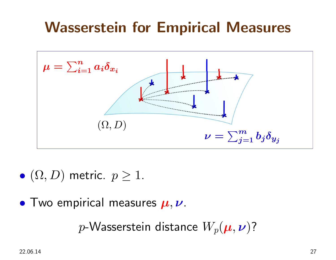# Wasserstein for Empirical Measures



- $\bullet$  $\bullet$   $(\Omega,D)$  metric.  $p\geq 1$ .
- Two empirical measures  $\boldsymbol{\mu}, \boldsymbol{\nu}$ .

 $p\text{-}\mathsf{W}$ asserstein distance  $W_p(\bm{\mu},\bm{\nu})$ ?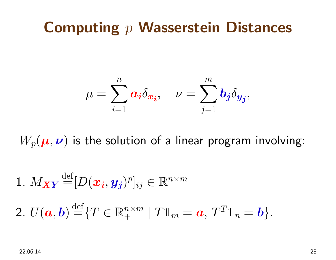# Computing  $p$  Wasserstein Distances

$$
\mu = \sum_{i=1}^n a_i \delta_{x_i}, \quad \nu = \sum_{j=1}^m b_j \delta_{y_j},
$$

 $W_p(\boldsymbol\mu,\boldsymbol\nu)$  is the solution of a linear program involving:

1. 
$$
M_{\boldsymbol{X}\boldsymbol{Y}} \stackrel{\text{def}}{=} [D(\boldsymbol{x_i}, \boldsymbol{y_j})^p]_{ij} \in \mathbb{R}^{n \times m}
$$
  
2.  $U(\boldsymbol{a}, \boldsymbol{b}) \stackrel{\text{def}}{=} \{T \in \mathbb{R}_+^{n \times m} \mid T1_m = \boldsymbol{a}, T^T1_n = \boldsymbol{b}\}.$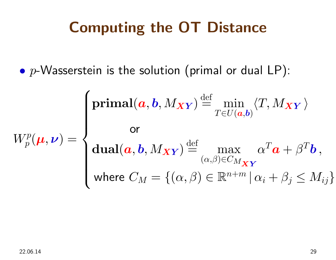## Computing the OT Distance

 $\bullet$  $p\text{-}\mathsf{W}$ asserstein is the solution (primal or dual LP):

$$
W_p^p(\boldsymbol{\mu}, \boldsymbol{\nu}) = \begin{cases} \textbf{primal}(\boldsymbol{a}, \boldsymbol{b}, M_{\boldsymbol{XY}}) \stackrel{\text{def}}{=} \min_{T \in U(\boldsymbol{a}, \boldsymbol{b})} \langle T, M_{\boldsymbol{XY}} \rangle \\ \textbf{or} \\ \textbf{dual}(\boldsymbol{a}, \boldsymbol{b}, M_{\boldsymbol{XY}}) \stackrel{\text{def}}{=} \max_{(\alpha, \beta) \in C_{M_{\boldsymbol{XY}}} } \alpha^T \boldsymbol{a} + \beta^T \boldsymbol{b} \,, \\ \textbf{where } C_M = \{(\alpha, \beta) \in \mathbb{R}^{n+m} \, | \, \alpha_i + \beta_j \le M_{ij} \} \end{cases}
$$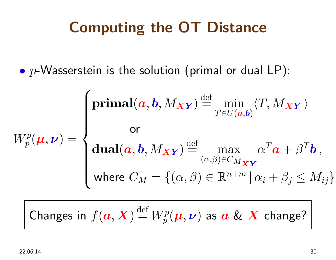### Computing the OT Distance

 $\bullet$  $p\text{-}\mathsf{W}$ asserstein is the solution (primal or dual LP):

$$
W_p^p(\boldsymbol{\mu}, \boldsymbol{\nu}) = \begin{cases} \textbf{primal}(\boldsymbol{a}, \boldsymbol{b}, M_{\boldsymbol{X}\boldsymbol{Y}}) \stackrel{\text{def}}{=} \min_{T \in U(\boldsymbol{a}, \boldsymbol{b})} \langle T, M_{\boldsymbol{X}\boldsymbol{Y}} \rangle \\ \textbf{or} \\ \textbf{dual}(\boldsymbol{a}, \boldsymbol{b}, M_{\boldsymbol{X}\boldsymbol{Y}}) \stackrel{\text{def}}{=} \max_{(\alpha, \beta) \in C_{M_{\boldsymbol{X}\boldsymbol{Y}}} } \alpha^T \boldsymbol{a} + \beta^T \boldsymbol{b} \,, \\ \textbf{where } C_M = \{(\alpha, \beta) \in \mathbb{R}^{n+m} \, | \, \alpha_i + \beta_j \le M_{ij} \} \end{cases}
$$

Changes in  $f(\boldsymbol{a},\boldsymbol{X})\!\stackrel{\text{def}}{=}$  $W_p^p(\bm{\mu},\bm{\nu})$  as  $\bm{a}$  &  $\bm{X}$  change?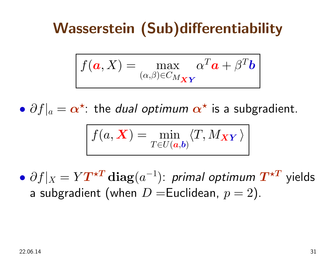# Wasserstein (Sub)differentiability

$$
f(\mathbf{a}, X) = \max_{(\alpha, \beta) \in C_{M_{\boldsymbol{X}\boldsymbol{Y}}}} \alpha^T \mathbf{a} + \beta^T \mathbf{b}
$$

 $\bullet$  $\bullet$   $\partial f|_a$  $=\boldsymbol{\alpha}^\star$ : the *dual optimum*  $\boldsymbol{\alpha}^\star$  is a subgradient.

$$
f(a, \mathbf{X}) = \min_{T \in U(a, b)} \langle T, M_{\mathbf{X} \mathbf{Y}} \rangle
$$

 $\bullet$  $\bullet$   $\partial f|_X$  $\mathbf{L}$  and  $\mathbf{L}$  and  $\mathbf{L}$  are  $\mathbf{L}$  and  $\mathbf{L}$  and  $\mathbf{L}$  are  $\mathbf{L}$  $= Y \boldsymbol{T^{\star T}} \text{diag}(a^-)$ 1 $^{1})$ : primal optimum  $\boldsymbol{T^{\star T}}$  yields a subgradient (when  $D=$ Euclidean,  $p$  $p = 2$  ).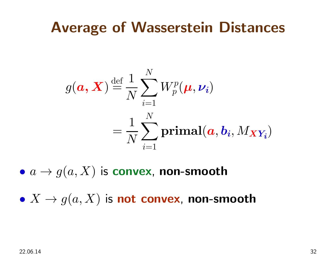#### Average of Wasserstein Distances

$$
g(\boldsymbol{a}, \boldsymbol{X}) \stackrel{\text{def}}{=} \frac{1}{N} \sum_{i=1}^{N} W_p^p(\boldsymbol{\mu}, \boldsymbol{\nu_i})
$$

$$
= \frac{1}{N} \sum_{i=1}^{N} \text{primal}(\boldsymbol{a}, \boldsymbol{b_i}, M_{\boldsymbol{XY_i}})
$$

 $\bullet\,\,a\rightarrow g$  $(a,X)$  is convex, non-smooth

 $\bullet~X\to g$  $(a,X)$  is not convex, non-smooth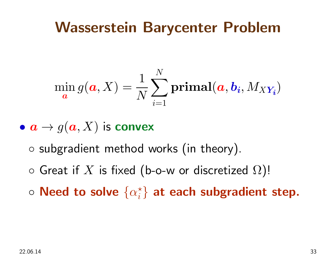#### Wasserstein Barycenter Problem

$$
\min_{\mathbf{a}} g(\mathbf{a}, X) = \frac{1}{N} \sum_{i=1}^{N} \textbf{primal}(\mathbf{a}, \mathbf{b_i}, M_{XY_i})
$$

 $\bullet\;{\bm a}\to g({\bm a}, X)$  is convex

- ◦ $\circ$  subgradient method works (in theory).
- $\circ$  Great if  $X$  is fixed (b-o-w or discretized  $\Omega$ )!
- $\circ$  Need to solve  $\{\alpha_i^\star\}$  $\{^\star_i\}$  at each subgradient step.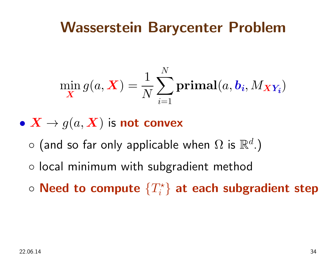#### Wasserstein Barycenter Problem

$$
\min_{\mathbf{X}} g(a, \mathbf{X}) = \frac{1}{N} \sum_{i=1}^{N} \textbf{primal}(a, b_i, M_{\mathbf{X}Y_i})
$$

 $\bullet~\bm{X}\rightarrow g(a,\bm{X})$  is not convex

- $\mathcal{L}$  and  $\mathcal{L}$  and  $\mathcal{L}$  and  $\mathcal{L}$  and  $\mathcal{L}$  and  $\mathcal{L}$  and  $\mathcal{L}$  and  $\mathcal{L}$  and  $\mathcal{L}$  and  $\mathcal{L}$  and  $\mathcal{L}$  and  $\mathcal{L}$  and  $\mathcal{L}$  and  $\mathcal{L}$  and  $\mathcal{L}$  and  $\mathcal{L}$  and  $\mathcal{L}$  and ◦ $\circ$  (and so far only applicable when  $\Omega$  is  $\mathbb{R}^d$ .)
- local minimum with subgradient method
- $\circ$  Need to compute  $\{T_i^\star\}$  $\{e_i^{\star}\}$  at each subgradient step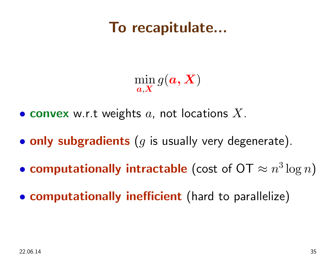#### To recapitulate...

min $\bm{a}{{,}\bm{X}}$  $\mathop{\rm{in}}\limits_{\boldsymbol{X}} g(\boldsymbol{a},\boldsymbol{X})$ 

- $\bullet$  convex w.r.t weights  $a$ , not locations  $X.$
- $\bullet$  $\bullet$  only subgradients  $(g$  is usually very degenerate).
- computationally intractable (cost of  $\mathrm{OT}\approx n^3\log n$ )
- $\bullet$ **• computationally inefficient** (hard to parallelize)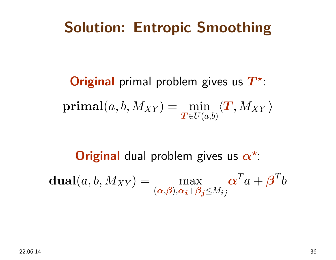## Solution: Entropic Smoothing

**Original** primal problem gives us  $T^{\star}$ : $\textbf{primal}(a,b,M_{XY}) = \min_{\bm{T} \in U(a,b)}$  $\left\langle \right\rangle$  $\bm{T},M_{XY} \, \rangle$ 

**Original** dual problem gives us  $\boldsymbol{\alpha}^{\star}$ :

dual $\mathbf{1}(a, b, M_{XY}) = \max_{(\alpha, \beta), \alpha + \beta}$  $(\boldsymbol{\alpha,\!\beta}),\!\boldsymbol{\alpha_i\!+\!\beta_j}\!\!\leq\!\!M_{ij}$  $\boldsymbol{\alpha}$  $\, T \,$  $\;\bar\; a$  $\, + \,$  $\bm{\beta}$  $\, T \,$  $\overline{b}$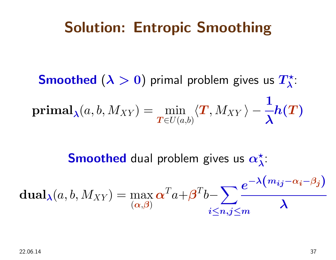### Solution: Entropic Smoothing

 $\mathsf{Smod}{}$  ( $\lambda>0)$  primal problem gives us  $T^\star_\lambda$  λ: $\operatorname{primal}_{\boldsymbol{\lambda}}$  $\chi(a,b,M_{XY})=\min_{\boldsymbol{T}\in U(a,b)}$  $\left\langle \right\rangle$  $\bm{T}, M_{XY} \, \rangle$   $-$ 1 λ $\boldsymbol{h}$  $\bigg($  $\bm{T}$ )

> $\operatorname{\mathsf{Smod}}$  dual problem gives us  $\alpha_\lambda^\star$  λ:

dual<sub>\lambda</sub>(a, b, M<sub>XY</sub>) = max 
$$
\alpha^T a + \beta^T b - \sum_{i \le n, j \le m} \frac{e^{-\lambda (m_{ij} - \alpha_i - \beta_j)}}{\lambda}
$$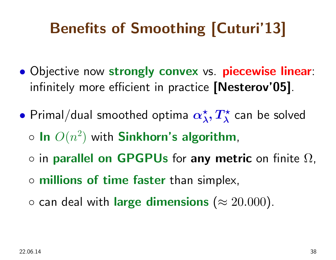# Benefits of Smoothing [Cuturi'13]

- $\bullet$ **.** Objective now strongly convex vs. piecewise linear: infinitely more efficient in practice [Nesterov'05].
- $\bullet$  Primal/dual smoothed optima  $\boldsymbol{\alpha}^{\star}$  $^\star_\lambda, T^\star_\lambda$  λ $\frac{1}{\lambda}$  can be solved  $\circ$  In  $O(n)$ 2 $^{2})$  with  ${\bf Sinkhorn}$ 's algorithm,  $\circ$  in parallel on GPGPUs for any metric on finite  $\Omega$ , ◦ millions of time faster than simplex,
	- $\circ$  can deal with large dimensions  $(\approx 20.000)$ .